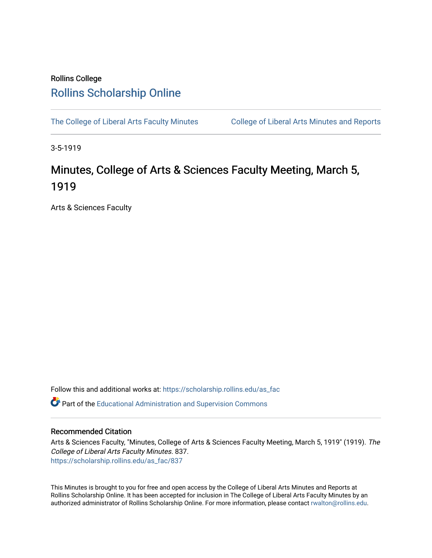## Rollins College [Rollins Scholarship Online](https://scholarship.rollins.edu/)

[The College of Liberal Arts Faculty Minutes](https://scholarship.rollins.edu/as_fac) College of Liberal Arts Minutes and Reports

3-5-1919

## Minutes, College of Arts & Sciences Faculty Meeting, March 5, 1919

Arts & Sciences Faculty

Follow this and additional works at: [https://scholarship.rollins.edu/as\\_fac](https://scholarship.rollins.edu/as_fac?utm_source=scholarship.rollins.edu%2Fas_fac%2F837&utm_medium=PDF&utm_campaign=PDFCoverPages) 

**P** Part of the [Educational Administration and Supervision Commons](http://network.bepress.com/hgg/discipline/787?utm_source=scholarship.rollins.edu%2Fas_fac%2F837&utm_medium=PDF&utm_campaign=PDFCoverPages)

## Recommended Citation

Arts & Sciences Faculty, "Minutes, College of Arts & Sciences Faculty Meeting, March 5, 1919" (1919). The College of Liberal Arts Faculty Minutes. 837. [https://scholarship.rollins.edu/as\\_fac/837](https://scholarship.rollins.edu/as_fac/837?utm_source=scholarship.rollins.edu%2Fas_fac%2F837&utm_medium=PDF&utm_campaign=PDFCoverPages) 

This Minutes is brought to you for free and open access by the College of Liberal Arts Minutes and Reports at Rollins Scholarship Online. It has been accepted for inclusion in The College of Liberal Arts Faculty Minutes by an authorized administrator of Rollins Scholarship Online. For more information, please contact [rwalton@rollins.edu](mailto:rwalton@rollins.edu).